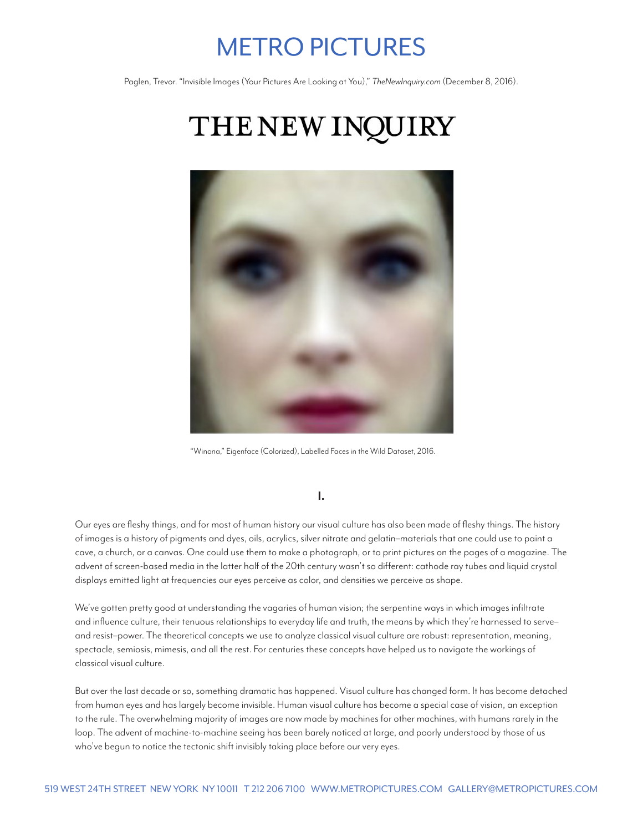## METRO PICTURES

Paglen, Trevor. "Invisible Images (Your Pictures Are Looking at You)," *TheNewInquiry.com* (December 8, 2016).

# THE NEW INQUIRY



"Winona," Eigenface (Colorized), Labelled Faces in the Wild Dataset, 2016.

#### **I.**

Our eyes are fleshy things, and for most of human history our visual culture has also been made of fleshy things. The history of images is a history of pigments and dyes, oils, acrylics, silver nitrate and gelatin–materials that one could use to paint a cave, a church, or a canvas. One could use them to make a photograph, or to print pictures on the pages of a magazine. The advent of screen-based media in the latter half of the 20th century wasn't so different: cathode ray tubes and liquid crystal displays emitted light at frequencies our eyes perceive as color, and densities we perceive as shape.

We've gotten pretty good at understanding the vagaries of human vision; the serpentine ways in which images infiltrate and influence culture, their tenuous relationships to everyday life and truth, the means by which they're harnessed to serve– and resist–power. The theoretical concepts we use to analyze classical visual culture are robust: representation, meaning, spectacle, semiosis, mimesis, and all the rest. For centuries these concepts have helped us to navigate the workings of classical visual culture.

But over the last decade or so, something dramatic has happened. Visual culture has changed form. It has become detached from human eyes and has largely become invisible. Human visual culture has become a special case of vision, an exception to the rule. The overwhelming majority of images are now made by machines for other machines, with humans rarely in the loop. The advent of machine-to-machine seeing has been barely noticed at large, and poorly understood by those of us who've begun to notice the tectonic shift invisibly taking place before our very eyes.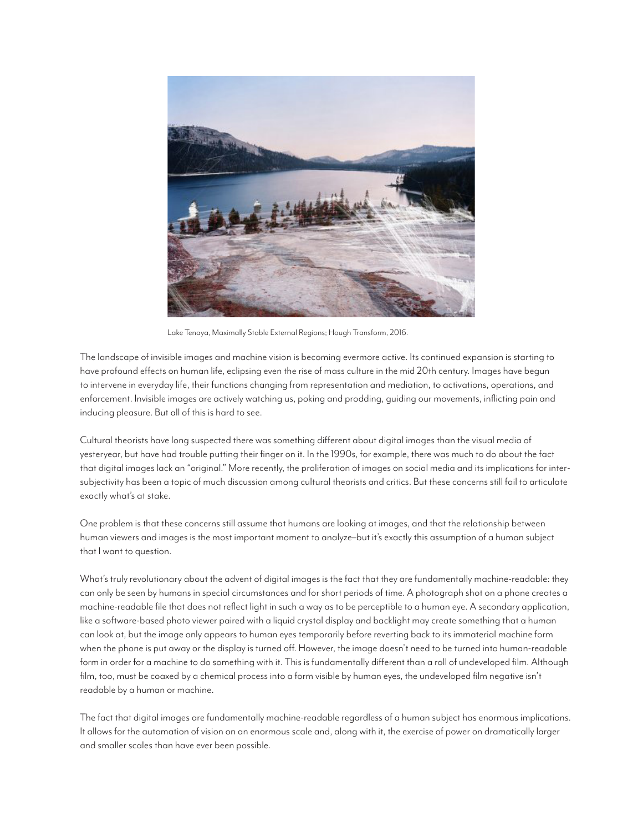

Lake Tenaya, Maximally Stable External Regions; Hough Transform, 2016.

The landscape of invisible images and machine vision is becoming evermore active. Its continued expansion is starting to have profound effects on human life, eclipsing even the rise of mass culture in the mid 20th century. Images have begun to intervene in everyday life, their functions changing from representation and mediation, to activations, operations, and enforcement. Invisible images are actively watching us, poking and prodding, guiding our movements, inflicting pain and inducing pleasure. But all of this is hard to see.

Cultural theorists have long suspected there was something different about digital images than the visual media of yesteryear, but have had trouble putting their finger on it. In the 1990s, for example, there was much to do about the fact that digital images lack an "original." More recently, the proliferation of images on social media and its implications for intersubjectivity has been a topic of much discussion among cultural theorists and critics. But these concerns still fail to articulate exactly what's at stake.

One problem is that these concerns still assume that humans are looking at images, and that the relationship between human viewers and images is the most important moment to analyze–but it's exactly this assumption of a human subject that I want to question.

What's truly revolutionary about the advent of digital images is the fact that they are fundamentally machine-readable: they can only be seen by humans in special circumstances and for short periods of time. A photograph shot on a phone creates a machine-readable file that does not reflect light in such a way as to be perceptible to a human eye. A secondary application, like a software-based photo viewer paired with a liquid crystal display and backlight may create something that a human can look at, but the image only appears to human eyes temporarily before reverting back to its immaterial machine form when the phone is put away or the display is turned off. However, the image doesn't need to be turned into human-readable form in order for a machine to do something with it. This is fundamentally different than a roll of undeveloped film. Although film, too, must be coaxed by a chemical process into a form visible by human eyes, the undeveloped film negative isn't readable by a human or machine.

The fact that digital images are fundamentally machine-readable regardless of a human subject has enormous implications. It allows for the automation of vision on an enormous scale and, along with it, the exercise of power on dramatically larger and smaller scales than have ever been possible.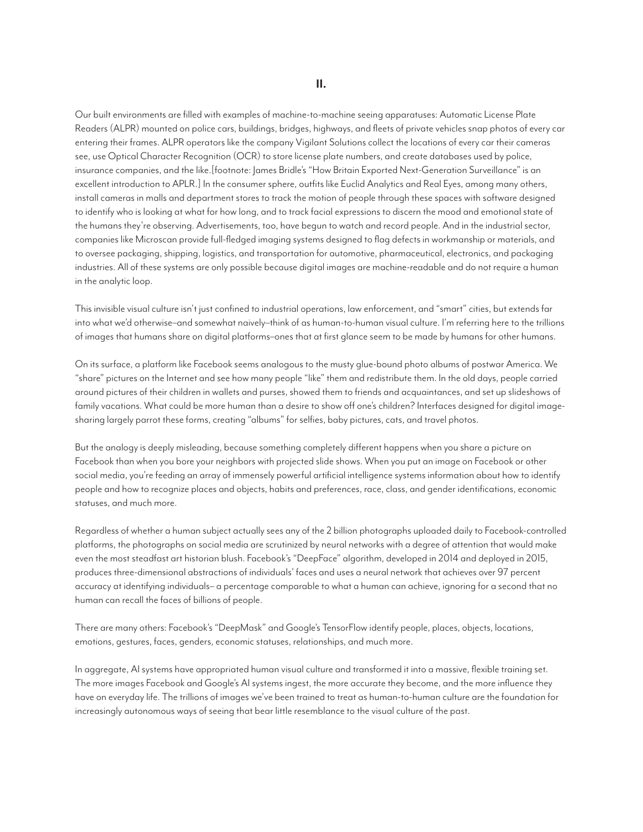Our built environments are filled with examples of machine-to-machine seeing apparatuses: Automatic License Plate Readers (ALPR) mounted on police cars, buildings, bridges, highways, and fleets of private vehicles snap photos of every car entering their frames. ALPR operators like the company Vigilant Solutions collect the locations of every car their cameras see, use Optical Character Recognition (OCR) to store license plate numbers, and create databases used by police, insurance companies, and the like.[footnote: James Bridle's "How Britain Exported Next-Generation Surveillance" is an excellent introduction to APLR.] In the consumer sphere, outfits like Euclid Analytics and Real Eyes, among many others, install cameras in malls and department stores to track the motion of people through these spaces with software designed to identify who is looking at what for how long, and to track facial expressions to discern the mood and emotional state of the humans they're observing. Advertisements, too, have begun to watch and record people. And in the industrial sector, companies like Microscan provide full-fledged imaging systems designed to flag defects in workmanship or materials, and to oversee packaging, shipping, logistics, and transportation for automotive, pharmaceutical, electronics, and packaging industries. All of these systems are only possible because digital images are machine-readable and do not require a human in the analytic loop.

This invisible visual culture isn't just confined to industrial operations, law enforcement, and "smart" cities, but extends far into what we'd otherwise–and somewhat naively–think of as human-to-human visual culture. I'm referring here to the trillions of images that humans share on digital platforms–ones that at first glance seem to be made by humans for other humans.

On its surface, a platform like Facebook seems analogous to the musty glue-bound photo albums of postwar America. We "share" pictures on the Internet and see how many people "like" them and redistribute them. In the old days, people carried around pictures of their children in wallets and purses, showed them to friends and acquaintances, and set up slideshows of family vacations. What could be more human than a desire to show off one's children? Interfaces designed for digital imagesharing largely parrot these forms, creating "albums" for selfies, baby pictures, cats, and travel photos.

But the analogy is deeply misleading, because something completely different happens when you share a picture on Facebook than when you bore your neighbors with projected slide shows. When you put an image on Facebook or other social media, you're feeding an array of immensely powerful artificial intelligence systems information about how to identify people and how to recognize places and objects, habits and preferences, race, class, and gender identifications, economic statuses, and much more.

Regardless of whether a human subject actually sees any of the 2 billion photographs uploaded daily to Facebook-controlled platforms, the photographs on social media are scrutinized by neural networks with a degree of attention that would make even the most steadfast art historian blush. Facebook's "DeepFace" algorithm, developed in 2014 and deployed in 2015, produces three-dimensional abstractions of individuals' faces and uses a neural network that achieves over 97 percent accuracy at identifying individuals– a percentage comparable to what a human can achieve, ignoring for a second that no human can recall the faces of billions of people.

There are many others: Facebook's "DeepMask" and Google's TensorFlow identify people, places, objects, locations, emotions, gestures, faces, genders, economic statuses, relationships, and much more.

In aggregate, AI systems have appropriated human visual culture and transformed it into a massive, flexible training set. The more images Facebook and Google's AI systems ingest, the more accurate they become, and the more influence they have on everyday life. The trillions of images we've been trained to treat as human-to-human culture are the foundation for increasingly autonomous ways of seeing that bear little resemblance to the visual culture of the past.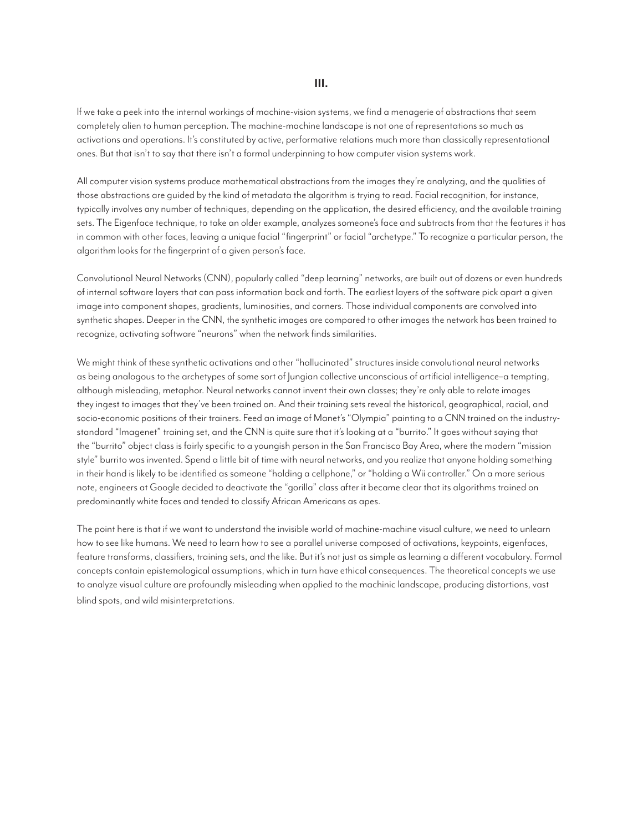**III.**

If we take a peek into the internal workings of machine-vision systems, we find a menagerie of abstractions that seem completely alien to human perception. The machine-machine landscape is not one of representations so much as activations and operations. It's constituted by active, performative relations much more than classically representational ones. But that isn't to say that there isn't a formal underpinning to how computer vision systems work.

All computer vision systems produce mathematical abstractions from the images they're analyzing, and the qualities of those abstractions are guided by the kind of metadata the algorithm is trying to read. Facial recognition, for instance, typically involves any number of techniques, depending on the application, the desired efficiency, and the available training sets. The Eigenface technique, to take an older example, analyzes someone's face and subtracts from that the features it has in common with other faces, leaving a unique facial "fingerprint" or facial "archetype." To recognize a particular person, the algorithm looks for the fingerprint of a given person's face.

Convolutional Neural Networks (CNN), popularly called "deep learning" networks, are built out of dozens or even hundreds of internal software layers that can pass information back and forth. The earliest layers of the software pick apart a given image into component shapes, gradients, luminosities, and corners. Those individual components are convolved into synthetic shapes. Deeper in the CNN, the synthetic images are compared to other images the network has been trained to recognize, activating software "neurons" when the network finds similarities.

We might think of these synthetic activations and other "hallucinated" structures inside convolutional neural networks as being analogous to the archetypes of some sort of Jungian collective unconscious of artificial intelligence–a tempting, although misleading, metaphor. Neural networks cannot invent their own classes; they're only able to relate images they ingest to images that they've been trained on. And their training sets reveal the historical, geographical, racial, and socio-economic positions of their trainers. Feed an image of Manet's "Olympia" painting to a CNN trained on the industrystandard "Imagenet" training set, and the CNN is quite sure that it's looking at a "burrito." It goes without saying that the "burrito" object class is fairly specific to a youngish person in the San Francisco Bay Area, where the modern "mission style" burrito was invented. Spend a little bit of time with neural networks, and you realize that anyone holding something in their hand is likely to be identified as someone "holding a cellphone," or "holding a Wii controller." On a more serious note, engineers at Google decided to deactivate the "gorilla" class after it became clear that its algorithms trained on predominantly white faces and tended to classify African Americans as apes.

The point here is that if we want to understand the invisible world of machine-machine visual culture, we need to unlearn how to see like humans. We need to learn how to see a parallel universe composed of activations, keypoints, eigenfaces, feature transforms, classifiers, training sets, and the like. But it's not just as simple as learning a different vocabulary. Formal concepts contain epistemological assumptions, which in turn have ethical consequences. The theoretical concepts we use to analyze visual culture are profoundly misleading when applied to the machinic landscape, producing distortions, vast blind spots, and wild misinterpretations.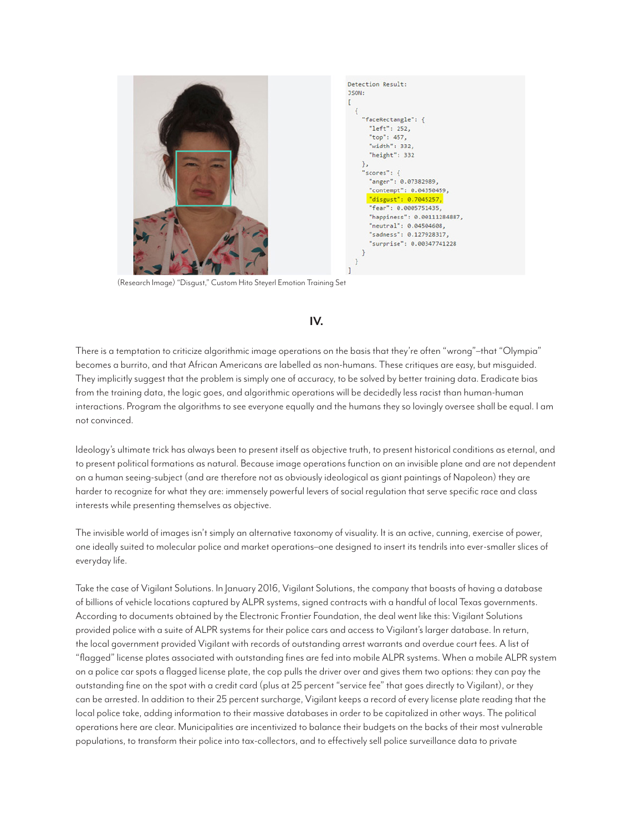

(Research Image) "Disgust," Custom Hito Steyerl Emotion Training Set

### **IV.**

There is a temptation to criticize algorithmic image operations on the basis that they're often "wrong"–that "Olympia" becomes a burrito, and that African Americans are labelled as non-humans. These critiques are easy, but misguided. They implicitly suggest that the problem is simply one of accuracy, to be solved by better training data. Eradicate bias from the training data, the logic goes, and algorithmic operations will be decidedly less racist than human-human interactions. Program the algorithms to see everyone equally and the humans they so lovingly oversee shall be equal. I am not convinced.

Ideology's ultimate trick has always been to present itself as objective truth, to present historical conditions as eternal, and to present political formations as natural. Because image operations function on an invisible plane and are not dependent on a human seeing-subject (and are therefore not as obviously ideological as giant paintings of Napoleon) they are harder to recognize for what they are: immensely powerful levers of social regulation that serve specific race and class interests while presenting themselves as objective.

The invisible world of images isn't simply an alternative taxonomy of visuality. It is an active, cunning, exercise of power, one ideally suited to molecular police and market operations–one designed to insert its tendrils into ever-smaller slices of everyday life.

Take the case of Vigilant Solutions. In January 2016, Vigilant Solutions, the company that boasts of having a database of billions of vehicle locations captured by ALPR systems, signed contracts with a handful of local Texas governments. According to documents obtained by the Electronic Frontier Foundation, the deal went like this: Vigilant Solutions provided police with a suite of ALPR systems for their police cars and access to Vigilant's larger database. In return, the local government provided Vigilant with records of outstanding arrest warrants and overdue court fees. A list of "flagged" license plates associated with outstanding fines are fed into mobile ALPR systems. When a mobile ALPR system on a police car spots a flagged license plate, the cop pulls the driver over and gives them two options: they can pay the outstanding fine on the spot with a credit card (plus at 25 percent "service fee" that goes directly to Vigilant), or they can be arrested. In addition to their 25 percent surcharge, Vigilant keeps a record of every license plate reading that the local police take, adding information to their massive databases in order to be capitalized in other ways. The political operations here are clear. Municipalities are incentivized to balance their budgets on the backs of their most vulnerable populations, to transform their police into tax-collectors, and to effectively sell police surveillance data to private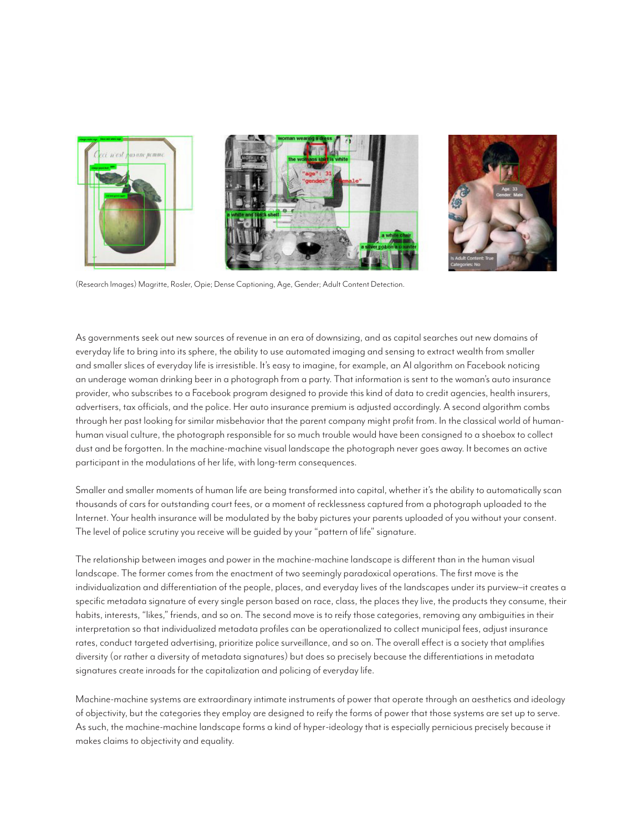

(Research Images) Magritte, Rosler, Opie; Dense Captioning, Age, Gender; Adult Content Detection.

As governments seek out new sources of revenue in an era of downsizing, and as capital searches out new domains of everyday life to bring into its sphere, the ability to use automated imaging and sensing to extract wealth from smaller and smaller slices of everyday life is irresistible. It's easy to imagine, for example, an AI algorithm on Facebook noticing an underage woman drinking beer in a photograph from a party. That information is sent to the woman's auto insurance provider, who subscribes to a Facebook program designed to provide this kind of data to credit agencies, health insurers, advertisers, tax officials, and the police. Her auto insurance premium is adjusted accordingly. A second algorithm combs through her past looking for similar misbehavior that the parent company might profit from. In the classical world of humanhuman visual culture, the photograph responsible for so much trouble would have been consigned to a shoebox to collect dust and be forgotten. In the machine-machine visual landscape the photograph never goes away. It becomes an active participant in the modulations of her life, with long-term consequences.

Smaller and smaller moments of human life are being transformed into capital, whether it's the ability to automatically scan thousands of cars for outstanding court fees, or a moment of recklessness captured from a photograph uploaded to the Internet. Your health insurance will be modulated by the baby pictures your parents uploaded of you without your consent. The level of police scrutiny you receive will be guided by your "pattern of life" signature.

The relationship between images and power in the machine-machine landscape is different than in the human visual landscape. The former comes from the enactment of two seemingly paradoxical operations. The first move is the individualization and differentiation of the people, places, and everyday lives of the landscapes under its purview–it creates a specific metadata signature of every single person based on race, class, the places they live, the products they consume, their habits, interests, "likes," friends, and so on. The second move is to reify those categories, removing any ambiguities in their interpretation so that individualized metadata profiles can be operationalized to collect municipal fees, adjust insurance rates, conduct targeted advertising, prioritize police surveillance, and so on. The overall effect is a society that amplifies diversity (or rather a diversity of metadata signatures) but does so precisely because the differentiations in metadata signatures create inroads for the capitalization and policing of everyday life.

Machine-machine systems are extraordinary intimate instruments of power that operate through an aesthetics and ideology of objectivity, but the categories they employ are designed to reify the forms of power that those systems are set up to serve. As such, the machine-machine landscape forms a kind of hyper-ideology that is especially pernicious precisely because it makes claims to objectivity and equality.